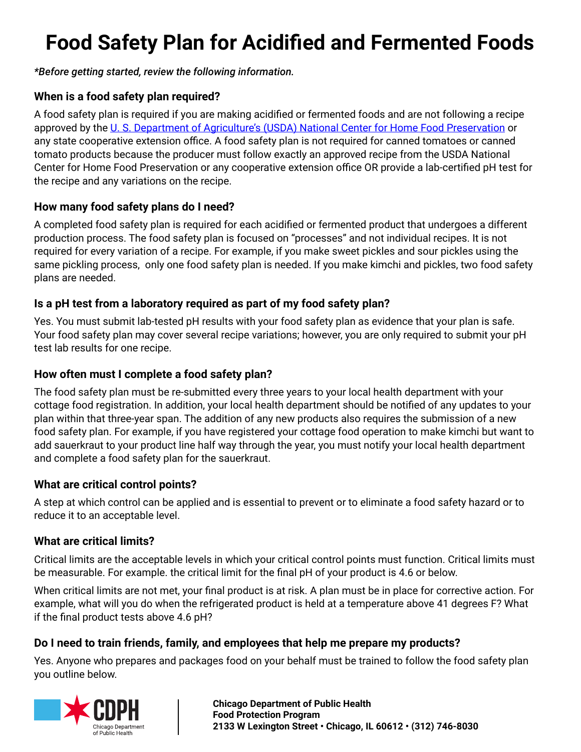# **Food Safety Plan for Acidified and Fermented Foods**

#### *\*Before getting started, review the following information.*

#### **When is a food safety plan required?**

A food safety plan is required if you are making acidified or fermented foods and are not following a recipe approved by the [U. S. Department of Agriculture's \(USDA\) National Center for Home Food Preservation](https://nchfp.uga.edu/) or any state cooperative extension office. A food safety plan is not required for canned tomatoes or canned tomato products because the producer must follow exactly an approved recipe from the USDA National Center for Home Food Preservation or any cooperative extension office OR provide a lab-certified pH test for the recipe and any variations on the recipe.

#### **How many food safety plans do I need?**

A completed food safety plan is required for each acidified or fermented product that undergoes a different production process. The food safety plan is focused on "processes" and not individual recipes. It is not required for every variation of a recipe. For example, if you make sweet pickles and sour pickles using the same pickling process, only one food safety plan is needed. If you make kimchi and pickles, two food safety plans are needed.

#### **Is a pH test from a laboratory required as part of my food safety plan?**

Yes. You must submit lab-tested pH results with your food safety plan as evidence that your plan is safe. Your food safety plan may cover several recipe variations; however, you are only required to submit your pH test lab results for one recipe.

#### **How often must I complete a food safety plan?**

The food safety plan must be re-submitted every three years to your local health department with your cottage food registration. In addition, your local health department should be notified of any updates to your plan within that three-year span. The addition of any new products also requires the submission of a new food safety plan. For example, if you have registered your cottage food operation to make kimchi but want to add sauerkraut to your product line half way through the year, you must notify your local health department and complete a food safety plan for the sauerkraut.

#### **What are critical control points?**

A step at which control can be applied and is essential to prevent or to eliminate a food safety hazard or to reduce it to an acceptable level.

#### **What are critical limits?**

Critical limits are the acceptable levels in which your critical control points must function. Critical limits must be measurable. For example. the critical limit for the final pH of your product is 4.6 or below.

When critical limits are not met, your final product is at risk. A plan must be in place for corrective action. For example, what will you do when the refrigerated product is held at a temperature above 41 degrees F? What if the final product tests above 4.6 pH?

#### **Do I need to train friends, family, and employees that help me prepare my products?**

Yes. Anyone who prepares and packages food on your behalf must be trained to follow the food safety plan you outline below.

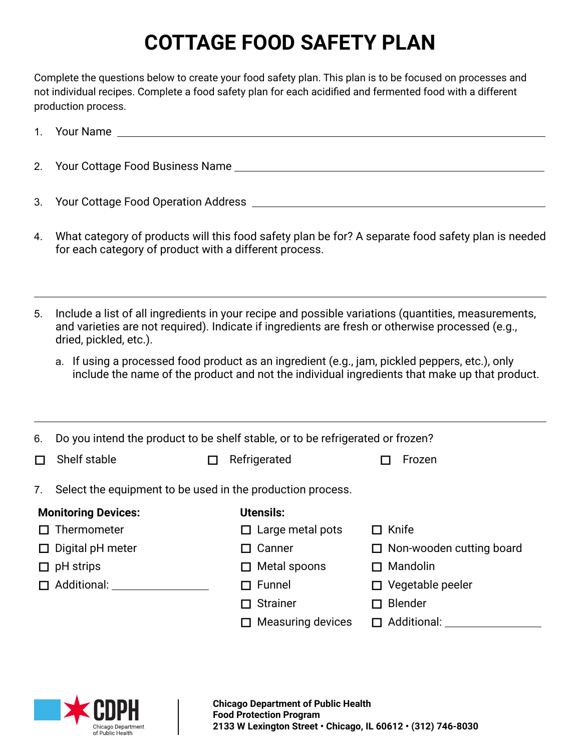# **COTTAGE FOOD SAFETY PLAN**

Complete the questions below to create your food safety plan. This plan is to be focused on processes and not individual recipes. Complete a food safety plan for each acidified and fermented food with a different production process.

|                            | 1. Your Name that the contract of the contract of the contract of the contract of the contract of the contract of the contract of the contract of the contract of the contract of the contract of the contract of the contract    |        |                          |                                                                                                                                                                                                 |  |  |
|----------------------------|-----------------------------------------------------------------------------------------------------------------------------------------------------------------------------------------------------------------------------------|--------|--------------------------|-------------------------------------------------------------------------------------------------------------------------------------------------------------------------------------------------|--|--|
|                            |                                                                                                                                                                                                                                   |        |                          |                                                                                                                                                                                                 |  |  |
| 3.                         |                                                                                                                                                                                                                                   |        |                          |                                                                                                                                                                                                 |  |  |
| 4.                         | What category of products will this food safety plan be for? A separate food safety plan is needed<br>for each category of product with a different process.                                                                      |        |                          |                                                                                                                                                                                                 |  |  |
| 5.                         | Include a list of all ingredients in your recipe and possible variations (quantities, measurements,<br>and varieties are not required). Indicate if ingredients are fresh or otherwise processed (e.g.,<br>dried, pickled, etc.). |        |                          |                                                                                                                                                                                                 |  |  |
|                            |                                                                                                                                                                                                                                   |        |                          | a. If using a processed food product as an ingredient (e.g., jam, pickled peppers, etc.), only<br>include the name of the product and not the individual ingredients that make up that product. |  |  |
| 6.                         | Do you intend the product to be shelf stable, or to be refrigerated or frozen?                                                                                                                                                    |        |                          |                                                                                                                                                                                                 |  |  |
| $\Box$                     | Shelf stable                                                                                                                                                                                                                      | $\Box$ | Refrigerated             | Frozen<br>П                                                                                                                                                                                     |  |  |
| 7.                         | Select the equipment to be used in the production process.                                                                                                                                                                        |        |                          |                                                                                                                                                                                                 |  |  |
| <b>Monitoring Devices:</b> |                                                                                                                                                                                                                                   |        | <b>Utensils:</b>         |                                                                                                                                                                                                 |  |  |
|                            | $\Box$ Thermometer                                                                                                                                                                                                                |        | $\Box$ Large metal pots  | $\Box$ Knife                                                                                                                                                                                    |  |  |
|                            | $\Box$ Digital pH meter                                                                                                                                                                                                           |        | $\Box$ Canner            | $\Box$ Non-wooden cutting board                                                                                                                                                                 |  |  |
|                            | $\Box$ pH strips                                                                                                                                                                                                                  |        | $\Box$ Metal spoons      | $\Box$ Mandolin                                                                                                                                                                                 |  |  |
|                            | □ Additional: ________________                                                                                                                                                                                                    |        | Funnel<br>П              | $\Box$ Vegetable peeler                                                                                                                                                                         |  |  |
|                            |                                                                                                                                                                                                                                   |        | <b>Strainer</b>          | $\Box$ Blender                                                                                                                                                                                  |  |  |
|                            |                                                                                                                                                                                                                                   |        | <b>Measuring devices</b> |                                                                                                                                                                                                 |  |  |
|                            |                                                                                                                                                                                                                                   |        |                          |                                                                                                                                                                                                 |  |  |

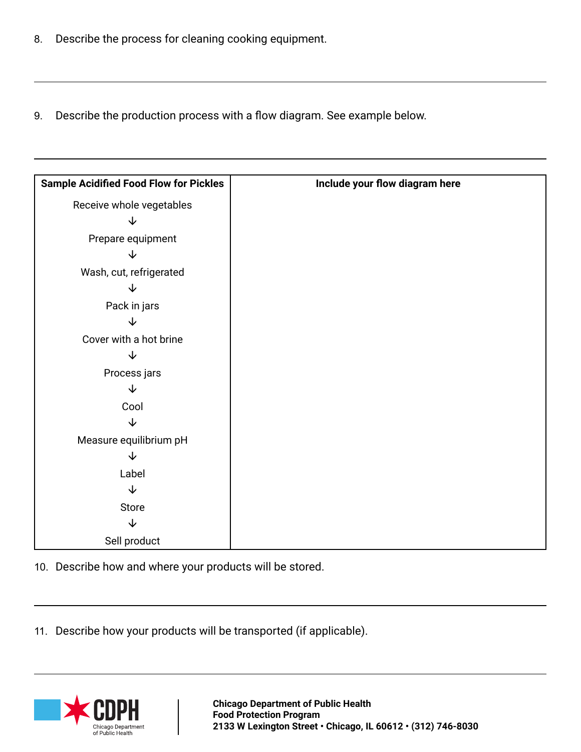- 8. Describe the process for cleaning cooking equipment.
- 9. Describe the production process with a flow diagram. See example below.

| <b>Sample Acidified Food Flow for Pickles</b> | Include your flow diagram here |
|-----------------------------------------------|--------------------------------|
| Receive whole vegetables                      |                                |
| ↓                                             |                                |
| Prepare equipment                             |                                |
| ↓                                             |                                |
| Wash, cut, refrigerated                       |                                |
| ↓                                             |                                |
| Pack in jars                                  |                                |
| $\downarrow$                                  |                                |
| Cover with a hot brine                        |                                |
| J                                             |                                |
| Process jars                                  |                                |
| $\downarrow$                                  |                                |
| Cool                                          |                                |
| $\downarrow$                                  |                                |
| Measure equilibrium pH                        |                                |
| $\downarrow$                                  |                                |
| Label                                         |                                |
| $\downarrow$                                  |                                |
| Store                                         |                                |
| $\downarrow$                                  |                                |
| Sell product                                  |                                |

10. Describe how and where your products will be stored.

11. Describe how your products will be transported (if applicable).